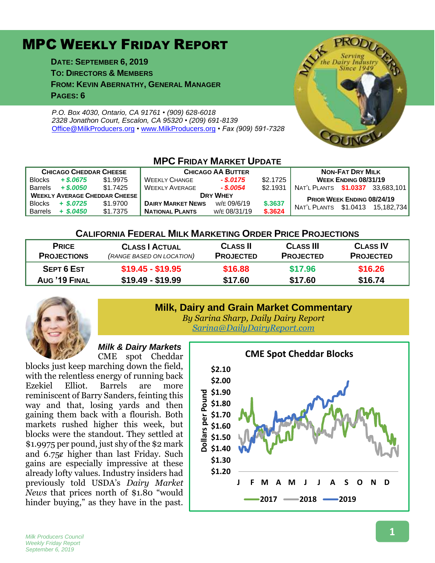# MPC WEEKLY FRIDAY REPORT

**DATE: SEPTEMBER 6, 2019 TO: DIRECTORS & MEMBERS FROM: KEVIN ABERNATHY, GENERAL MANAGER PAGES: 6**

*P.O. Box 4030, Ontario, CA 91761 • (909) 628-6018 2328 Jonathon Court, Escalon, CA 95320 • (209) 691-8139* [Office@MilkProducers.org](mailto:office@milkproducers.org) *•* [www.MilkProducers.org](http://www.milkproducers.org/) *• Fax (909) 591-7328*



| IVITU FRIDAY IVIARKEI UPDATE         |             |          |                          |              |          |                                   |  |  |  |  |  |
|--------------------------------------|-------------|----------|--------------------------|--------------|----------|-----------------------------------|--|--|--|--|--|
| <b>CHICAGO CHEDDAR CHEESE</b>        |             |          | <b>CHICAGO AA BUTTER</b> |              |          | <b>NON-FAT DRY MILK</b>           |  |  |  |  |  |
| <b>Blocks</b>                        | $+$ \$.0675 | \$1.9975 | <b>WEEKLY CHANGE</b>     | $-$ \$.0175  | \$2.1725 | WEEK ENDING 08/31/19              |  |  |  |  |  |
| <b>Barrels</b>                       | $+$ \$.0050 | \$1.7425 | <b>WEEKLY AVERAGE</b>    | $-$ \$.0054  | \$2.1931 | NAT'L PLANTS \$1.0337 33.683.101  |  |  |  |  |  |
| <b>WEEKLY AVERAGE CHEDDAR CHEESE</b> |             |          | <b>DRY WHEY</b>          |              |          | <b>PRIOR WEEK ENDING 08/24/19</b> |  |  |  |  |  |
| <b>Blocks</b>                        | $+$ \$.0725 | \$1,9700 | <b>DAIRY MARKET NEWS</b> | w/E 09/6/19  | \$.3637  | NAT'L PLANTS \$1.0413 15.182.734  |  |  |  |  |  |
| <b>Barrels</b>                       | $+$ \$.0450 | \$1.7375 | <b>NATIONAL PLANTS</b>   | W/E 08/31/19 | \$.3624  |                                   |  |  |  |  |  |

**MPC FRIDAY MARKET UPDATE**

#### **CALIFORNIA FEDERAL MILK MARKETING ORDER PRICE PROJECTIONS**

| <b>PRICE</b>       | <b>CLASS   ACTUAL</b>     | <b>CLASS II</b>  | <b>CLASS III</b> | <b>CLASS IV</b>  |
|--------------------|---------------------------|------------------|------------------|------------------|
| <b>PROJECTIONS</b> | (RANGE BASED ON LOCATION) | <b>PROJECTED</b> | <b>PROJECTED</b> | <b>PROJECTED</b> |
| <b>SEPT 6 EST</b>  | $$19.45 - $19.95$         | \$16.88          | \$17.96          | \$16.26          |
| AUG '19 FINAL      |                           | \$17.60          | \$17.60          | \$16.74          |
|                    | $$19.49 - $19.99$         |                  |                  |                  |



# **Milk, Dairy and Grain Market Commentary**

*By Sarina Sharp, Daily Dairy Report [Sarina@DailyDairyReport.com](mailto:Sarina@DailyDairyReport.com)*

#### *Milk & Dairy Markets* CME spot Cheddar

blocks just keep marching down the field, with the relentless energy of running back Ezekiel Elliot. Barrels are more reminiscent of Barry Sanders, feinting this way and that, losing yards and then gaining them back with a flourish. Both markets rushed higher this week, but blocks were the standout. They settled at \$1.9975 per pound, just shy of the \$2 mark and  $6.75¢$  higher than last Friday. Such gains are especially impressive at these already lofty values. Industry insiders had previously told USDA's *Dairy Market News* that prices north of \$1.80 "would hinder buying," as they have in the past.

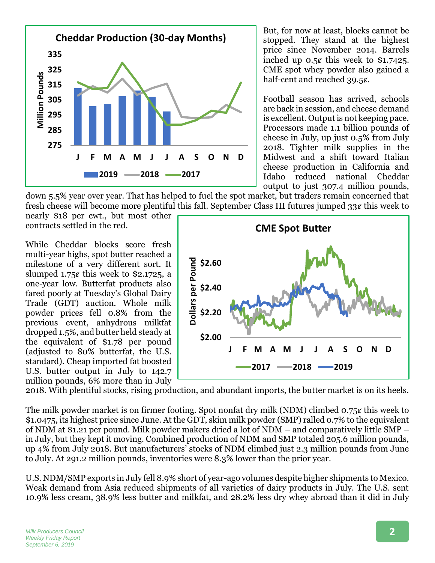

But, for now at least, blocks cannot be stopped. They stand at the highest price since November 2014. Barrels inched up  $0.5¢$  this week to \$1.7425. CME spot whey powder also gained a half-cent and reached 39.5¢.

Football season has arrived, schools are back in session, and cheese demand is excellent. Output is not keeping pace. Processors made 1.1 billion pounds of cheese in July, up just 0.5% from July 2018. Tighter milk supplies in the Midwest and a shift toward Italian cheese production in California and Idaho reduced national Cheddar output to just 307.4 million pounds,

down 5.5% year over year. That has helped to fuel the spot market, but traders remain concerned that fresh cheese will become more plentiful this fall. September Class III futures jumped  $33\ell$  this week to

nearly \$18 per cwt., but most other contracts settled in the red.

While Cheddar blocks score fresh multi-year highs, spot butter reached a milestone of a very different sort. It slumped  $1.75¢$  this week to \$2.1725, a one-year low. Butterfat products also fared poorly at Tuesday's Global Dairy Trade (GDT) auction. Whole milk powder prices fell 0.8% from the previous event, anhydrous milkfat dropped 1.5%, and butter held steady at the equivalent of \$1.78 per pound (adjusted to 80% butterfat, the U.S. standard). Cheap imported fat boosted U.S. butter output in July to 142.7 million pounds, 6% more than in July



2018. With plentiful stocks, rising production, and abundant imports, the butter market is on its heels.

The milk powder market is on firmer footing. Spot nonfat dry milk (NDM) climbed  $0.75\ell$  this week to \$1.0475, its highest price since June. At the GDT, skim milk powder (SMP) ralled 0.7% to the equivalent of NDM at \$1.21 per pound. Milk powder makers dried a lot of NDM – and comparatively little SMP – in July, but they kept it moving. Combined production of NDM and SMP totaled 205.6 million pounds, up 4% from July 2018. But manufacturers' stocks of NDM climbed just 2.3 million pounds from June to July. At 291.2 million pounds, inventories were 8.3% lower than the prior year.

U.S. NDM/SMP exports in July fell 8.9% short of year-ago volumes despite higher shipments to Mexico. Weak demand from Asia reduced shipments of all varieties of dairy products in July. The U.S. sent 10.9% less cream, 38.9% less butter and milkfat, and 28.2% less dry whey abroad than it did in July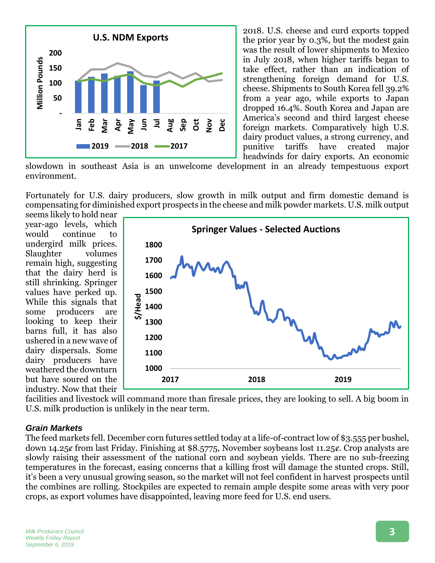

2018. U.S. cheese and curd exports topped the prior year by 0.3%, but the modest gain was the result of lower shipments to Mexico in July 2018, when higher tariffs began to take effect, rather than an indication of strengthening foreign demand for U.S. cheese. Shipments to South Korea fell 39.2% from a year ago, while exports to Japan dropped 16.4%. South Korea and Japan are America's second and third largest cheese foreign markets. Comparatively high U.S. dairy product values, a strong currency, and punitive tariffs have created major headwinds for dairy exports. An economic

slowdown in southeast Asia is an unwelcome development in an already tempestuous export environment.

Fortunately for U.S. dairy producers, slow growth in milk output and firm domestic demand is compensating for diminished export prospects in the cheese and milk powder markets. U.S. milk output

seems likely to hold near year-ago levels, which would continue to undergird milk prices. Slaughter volumes remain high, suggesting that the dairy herd is still shrinking. Springer values have perked up. While this signals that some producers are looking to keep their barns full, it has also ushered in a new wave of dairy dispersals. Some dairy producers have weathered the downturn but have soured on the industry. Now that their



facilities and livestock will command more than firesale prices, they are looking to sell. A big boom in U.S. milk production is unlikely in the near term.

#### *Grain Markets*

The feed markets fell. December corn futures settled today at a life-of-contract low of \$3.555 per bushel, down 14.25¢ from last Friday. Finishing at \$8.5775, November soybeans lost 11.25¢. Crop analysts are slowly raising their assessment of the national corn and soybean yields. There are no sub-freezing temperatures in the forecast, easing concerns that a killing frost will damage the stunted crops. Still, it's been a very unusual growing season, so the market will not feel confident in harvest prospects until the combines are rolling. Stockpiles are expected to remain ample despite some areas with very poor crops, as export volumes have disappointed, leaving more feed for U.S. end users.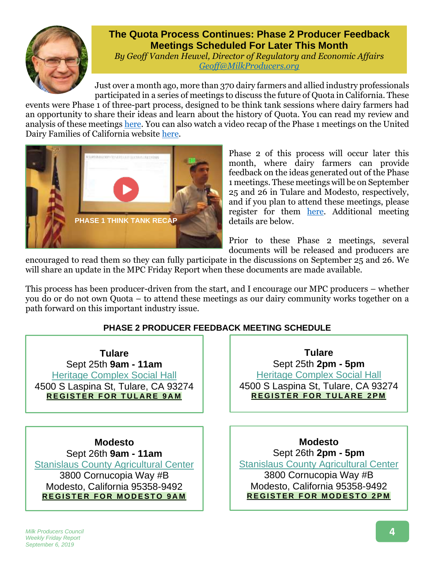

# **The Quota Process Continues: Phase 2 Producer Feedback Meetings Scheduled For Later This Month**

*By Geoff Vanden Heuvel, Director of Regulatory and Economic Affairs [Geoff@MilkProducers.org](mailto:Geoff@MilkProducers.org)*

Just over a month ago, more than 370 dairy farmers and allied industry professionals participated in a series of meetings to discuss the future of Quota in California. These

events were Phase 1 of three-part process, designed to be think tank sessions where dairy farmers had an opportunity to share their ideas and learn about the history of Quota. You can read my review and analysis of these meetings [here.](http://www.milkproducerscouncil.org/wp-content/uploads/newsletter_2019/2019-08-02%20MPC%20Newsletter.pdf#page=4) You can also watch a video recap of the Phase 1 meetings on the United Dairy Families of California website [here.](https://www.dairyfamilies.org/phase1)



Phase 2 of this process will occur later this month, where dairy farmers can provide feedback on the ideas generated out of the Phase 1 meetings. These meetings will be on September 25 and 26 in Tulare and Modesto, respectively, and if you plan to attend these meetings, please register for them [here.](https://www.dairyfamilies.org/events) Additional meeting details are below.

Prior to these Phase 2 meetings, several documents will be released and producers are

encouraged to read them so they can fully participate in the discussions on September 25 and 26. We will share an update in the MPC Friday Report when these documents are made available.

This process has been producer-driven from the start, and I encourage our MPC producers – whether you do or do not own Quota – to attend these meetings as our dairy community works together on a path forward on this important industry issue.

## **PHASE 2 PRODUCER FEEDBACK MEETING SCHEDULE**

**Tulare** Sept 25th **9am - 11am** [Heritage Complex Social Hall](https://goo.gl/maps/txa5gVAaMhYJtVW28) 4500 S Laspina St, Tulare, CA 93274 **[R E G I S T E](https://dairyfamilies.z2systems.com/np/clients/dairyfamilies/eventRegistration.jsp?event=66) R F O R T U L A R E 9 A M**

**Modesto** Sept 26th **9am - 11am** [Stanislaus County Agricultural Center](https://goo.gl/maps/degMoJKDw9vDUBY16) 3800 Cornucopia Way #B Modesto, California 95358-9492 **[R E G I S T E R](https://dairyfamilies.z2systems.com/eventReg.jsp?event=76) F O R M O D E S T O 9 A M**

**Tulare** Sept 25th **2pm - 5pm** [Heritage Complex Social Hall](https://goo.gl/maps/txa5gVAaMhYJtVW28) 4500 S Laspina St, Tulare, CA 93274 **[R E G I S T E R](https://dairyfamilies.z2systems.com/np/clients/dairyfamilies/eventRegistration.jsp?event=71) F O R T U L A R E 2 P M**

**Modesto** Sept 26th **2pm - 5pm** [Stanislaus County Agricultural Center](https://goo.gl/maps/degMoJKDw9vDUBY16) 3800 Cornucopia Way #B Modesto, California 95358-9492 **[R E G I S T E R](https://dairyfamilies.z2systems.com/np/clients/dairyfamilies/eventRegistration.jsp?event=81) F O R M O D E S T O 2 P M**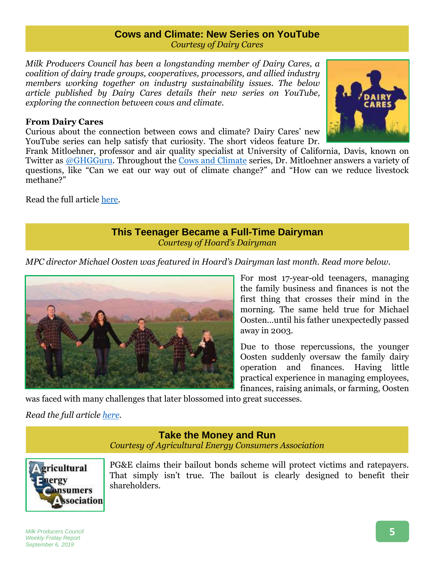#### **Cows and Climate: New Series on YouTube** *Courtesy of Dairy Cares*

*Milk Producers Council has been a longstanding member of Dairy Cares, a coalition of dairy trade groups, cooperatives, processors, and allied industry members working together on industry sustainability issues. The below article published by Dairy Cares details their new series on YouTube, exploring the connection between cows and climate.*

#### **From Dairy Cares**

Curious about the connection between cows and climate? Dairy Cares' new YouTube series can help satisfy that curiosity. The short videos feature Dr.

Frank Mitloehner, professor and air quality specialist at University of California, Davis, known on Twitter as [@GHGGuru.](https://twitter.com/GHGGuru) Throughout the [Cows and Climate](https://www.youtube.com/watch?v=PR7ATkTXSb8&list=PLJEeYejb4pU_hRlOxpkNJ1EWELOAgIIeC) series, Dr. Mitloehner answers a variety of questions, like "Can we eat our way out of climate change?" and "How can we reduce livestock methane?"

Read the full article [here.](https://www.dairycares.com/post/cows-and-climate-new-series-on-youtube)

## **This Teenager Became a Full-Time Dairyman** *Courtesy of Hoard's Dairyman*

*MPC director Michael Oosten was featured in Hoard's Dairyman last month. Read more below.* 



For most 17-year-old teenagers, managing the family business and finances is not the first thing that crosses their mind in the morning. The same held true for Michael Oosten…until his father unexpectedly passed away in 2003.

Due to those repercussions, the younger Oosten suddenly oversaw the family dairy operation and finances. Having little practical experience in managing employees, finances, raising animals, or farming, Oosten

was faced with many challenges that later blossomed into great successes.

*Read the full article [here](https://hoards.com/article-26109-this-teenager-became-a-full-time-dairyman.html)*.

## **Take the Money and Run** *Courtesy of Agricultural Energy Consumers Association*



PG&E claims their bailout bonds scheme will protect victims and ratepayers. That simply isn't true. The bailout is clearly designed to benefit their shareholders.